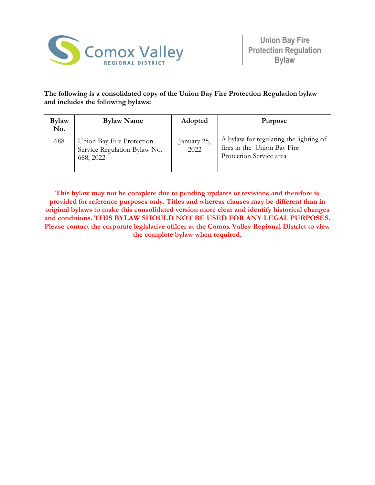

# **The following is a consolidated copy of the Union Bay Fire Protection Regulation bylaw and includes the following bylaws:**

| <b>Bylaw</b><br>No. | <b>Bylaw Name</b>                                                      | Adopted             | <b>Purpose</b>                                                                                   |
|---------------------|------------------------------------------------------------------------|---------------------|--------------------------------------------------------------------------------------------------|
| 688                 | Union Bay Fire Protection<br>Service Regulation Bylaw No.<br>688, 2022 | January 25,<br>2022 | A bylaw for regulating the lighting of<br>fires in the Union Bay Fire<br>Protection Service area |

**This bylaw may not be complete due to pending updates or revisions and therefore is provided for reference purposes only. Titles and whereas clauses may be different than in original bylaws to make this consolidated version more clear and identify historical changes and conditions. THIS BYLAW SHOULD NOT BE USED FOR ANY LEGAL PURPOSES. Please contact the corporate legislative officer at the Comox Valley Regional District to view the complete bylaw when required.**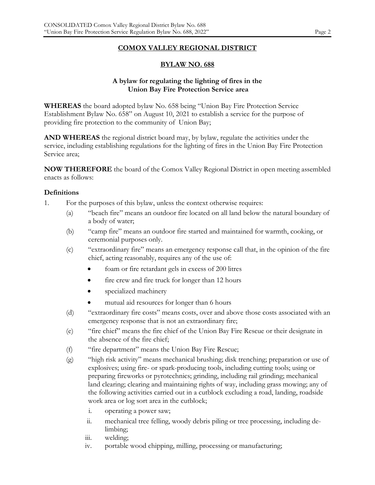# **COMOX VALLEY REGIONAL DISTRICT**

## **BYLAW NO. 688**

## **A bylaw for regulating the lighting of fires in the Union Bay Fire Protection Service area**

**WHEREAS** the board adopted bylaw No. 658 being "Union Bay Fire Protection Service Establishment Bylaw No. 658" on August 10, 2021 to establish a service for the purpose of providing fire protection to the community of Union Bay;

**AND WHEREAS** the regional district board may, by bylaw, regulate the activities under the service, including establishing regulations for the lighting of fires in the Union Bay Fire Protection Service area;

**NOW THEREFORE** the board of the Comox Valley Regional District in open meeting assembled enacts as follows:

#### **Definitions**

- 1. For the purposes of this bylaw, unless the context otherwise requires:
	- (a) "beach fire" means an outdoor fire located on all land below the natural boundary of a body of water;
	- (b) "camp fire" means an outdoor fire started and maintained for warmth, cooking, or ceremonial purposes only.
	- (c) "extraordinary fire" means an emergency response call that, in the opinion of the fire chief, acting reasonably, requires any of the use of:
		- foam or fire retardant gels in excess of 200 litres
		- fire crew and fire truck for longer than 12 hours
		- specialized machinery
		- mutual aid resources for longer than 6 hours
	- (d) "extraordinary fire costs" means costs, over and above those costs associated with an emergency response that is not an extraordinary fire;
	- (e) "fire chief" means the fire chief of the Union Bay Fire Rescue or their designate in the absence of the fire chief;
	- (f) "fire department" means the Union Bay Fire Rescue;
	- (g) "high risk activity" means mechanical brushing; disk trenching; preparation or use of explosives; using fire- or spark-producing tools, including cutting tools; using or preparing fireworks or pyrotechnics; grinding, including rail grinding; mechanical land clearing; clearing and maintaining rights of way, including grass mowing; any of the following activities carried out in a cutblock excluding a road, landing, roadside work area or log sort area in the cutblock;
		- i. operating a power saw;
		- ii. mechanical tree felling, woody debris piling or tree processing, including delimbing;
		- iii. welding;
		- iv. portable wood chipping, milling, processing or manufacturing;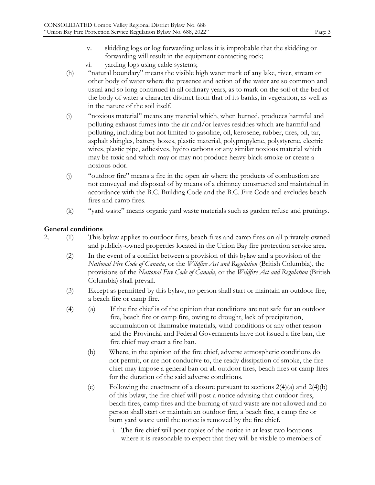- v. skidding logs or log forwarding unless it is improbable that the skidding or forwarding will result in the equipment contacting rock;
- vi. yarding logs using cable systems;
- (h) "natural boundary" means the visible high water mark of any lake, river, stream or other body of water where the presence and action of the water are so common and usual and so long continued in all ordinary years, as to mark on the soil of the bed of the body of water a character distinct from that of its banks, in vegetation, as well as in the nature of the soil itself.
- (i) "noxious material" means any material which, when burned, produces harmful and polluting exhaust fumes into the air and/or leaves residues which are harmful and polluting, including but not limited to gasoline, oil, kerosene, rubber, tires, oil, tar, asphalt shingles, battery boxes, plastic material, polypropylene, polystyrene, electric wires, plastic pipe, adhesives, hydro carbons or any similar noxious material which may be toxic and which may or may not produce heavy black smoke or create a noxious odor.
- (j) "outdoor fire" means a fire in the open air where the products of combustion are not conveyed and disposed of by means of a chimney constructed and maintained in accordance with the B.C. Building Code and the B.C. Fire Code and excludes beach fires and camp fires.
- (k) "yard waste" means organic yard waste materials such as garden refuse and prunings.

# **General conditions**

- 2. (1) This bylaw applies to outdoor fires, beach fires and camp fires on all privately-owned and publicly-owned properties located in the Union Bay fire protection service area.
	- (2) In the event of a conflict between a provision of this bylaw and a provision of the *National Fire Code of Canada*, or the *Wildfire Act and Regulation* (British Columbia), the provisions of the *National Fire Code of Canada*, or the *Wildfire Act and Regulation* (British Columbia) shall prevail.
	- (3) Except as permitted by this bylaw, no person shall start or maintain an outdoor fire, a beach fire or camp fire.
	- (4) (a) If the fire chief is of the opinion that conditions are not safe for an outdoor fire, beach fire or camp fire, owing to drought, lack of precipitation, accumulation of flammable materials, wind conditions or any other reason and the Provincial and Federal Governments have not issued a fire ban, the fire chief may enact a fire ban.
		- (b) Where, in the opinion of the fire chief, adverse atmospheric conditions do not permit, or are not conducive to, the ready dissipation of smoke, the fire chief may impose a general ban on all outdoor fires, beach fires or camp fires for the duration of the said adverse conditions.
		- (c) Following the enactment of a closure pursuant to sections  $2(4)(a)$  and  $2(4)(b)$ of this bylaw, the fire chief will post a notice advising that outdoor fires, beach fires, camp fires and the burning of yard waste are not allowed and no person shall start or maintain an outdoor fire, a beach fire, a camp fire or burn yard waste until the notice is removed by the fire chief.
			- i. The fire chief will post copies of the notice in at least two locations where it is reasonable to expect that they will be visible to members of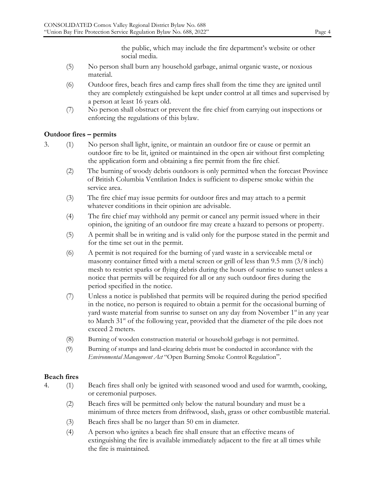the public, which may include the fire department's website or other social media.

- (5) No person shall burn any household garbage, animal organic waste, or noxious material.
- (6) Outdoor fires, beach fires and camp fires shall from the time they are ignited until they are completely extinguished be kept under control at all times and supervised by a person at least 16 years old.
- (7) No person shall obstruct or prevent the fire chief from carrying out inspections or enforcing the regulations of this bylaw.

# **Outdoor fires – permits**

- 3. (1) No person shall light, ignite, or maintain an outdoor fire or cause or permit an outdoor fire to be lit, ignited or maintained in the open air without first completing the application form and obtaining a fire permit from the fire chief.
	- (2) The burning of woody debris outdoors is only permitted when the forecast Province of British Columbia Ventilation Index is sufficient to disperse smoke within the service area.
	- (3) The fire chief may issue permits for outdoor fires and may attach to a permit whatever conditions in their opinion are advisable.
	- (4) The fire chief may withhold any permit or cancel any permit issued where in their opinion, the igniting of an outdoor fire may create a hazard to persons or property.
	- (5) A permit shall be in writing and is valid only for the purpose stated in the permit and for the time set out in the permit.
	- (6) A permit is not required for the burning of yard waste in a serviceable metal or masonry container fitted with a metal screen or grill of less than 9.5 mm (3/8 inch) mesh to restrict sparks or flying debris during the hours of sunrise to sunset unless a notice that permits will be required for all or any such outdoor fires during the period specified in the notice.
	- (7) Unless a notice is published that permits will be required during the period specified in the notice, no person is required to obtain a permit for the occasional burning of yard waste material from sunrise to sunset on any day from November 1<sup>st</sup> in any year to March  $31<sup>st</sup>$  of the following year, provided that the diameter of the pile does not exceed 2 meters.
	- (8) Burning of wooden construction material or household garbage is not permitted.
	- (9) Burning of stumps and land-clearing debris must be conducted in accordance with the *Environmental Management Act* "Open Burning Smoke Control Regulation".

### **Beach fires**

- 4. (1) Beach fires shall only be ignited with seasoned wood and used for warmth, cooking, or ceremonial purposes.
	- (2) Beach fires will be permitted only below the natural boundary and must be a minimum of three meters from driftwood, slash, grass or other combustible material.
	- (3) Beach fires shall be no larger than 50 cm in diameter.
	- (4) A person who ignites a beach fire shall ensure that an effective means of extinguishing the fire is available immediately adjacent to the fire at all times while the fire is maintained.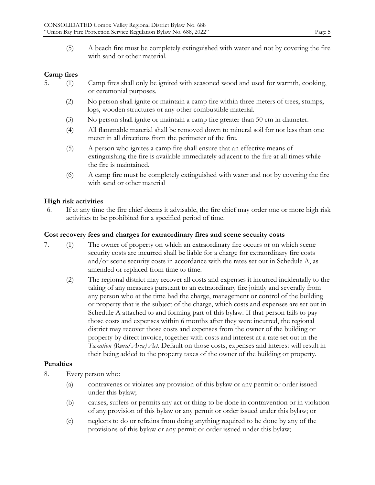(5) A beach fire must be completely extinguished with water and not by covering the fire with sand or other material.

# **Camp fires**

- 5. (1) Camp fires shall only be ignited with seasoned wood and used for warmth, cooking, or ceremonial purposes.
	- (2) No person shall ignite or maintain a camp fire within three meters of trees, stumps, logs, wooden structures or any other combustible material.
	- (3) No person shall ignite or maintain a camp fire greater than 50 cm in diameter.
	- (4) All flammable material shall be removed down to mineral soil for not less than one meter in all directions from the perimeter of the fire.
	- (5) A person who ignites a camp fire shall ensure that an effective means of extinguishing the fire is available immediately adjacent to the fire at all times while the fire is maintained.
	- (6) A camp fire must be completely extinguished with water and not by covering the fire with sand or other material

# **High risk activities**

6. If at any time the fire chief deems it advisable, the fire chief may order one or more high risk activities to be prohibited for a specified period of time.

# **Cost recovery fees and charges for extraordinary fires and scene security costs**

- 7. (1) The owner of property on which an extraordinary fire occurs or on which scene security costs are incurred shall be liable for a charge for extraordinary fire costs and/or scene security costs in accordance with the rates set out in Schedule A, as amended or replaced from time to time.
	- (2) The regional district may recover all costs and expenses it incurred incidentally to the taking of any measures pursuant to an extraordinary fire jointly and severally from any person who at the time had the charge, management or control of the building or property that is the subject of the charge, which costs and expenses are set out in Schedule A attached to and forming part of this bylaw. If that person fails to pay those costs and expenses within 6 months after they were incurred, the regional district may recover those costs and expenses from the owner of the building or property by direct invoice, together with costs and interest at a rate set out in the *Taxation (Rural Area) Act.* Default on those costs, expenses and interest will result in their being added to the property taxes of the owner of the building or property.

# **Penalties**

- 8. Every person who:
	- (a) contravenes or violates any provision of this bylaw or any permit or order issued under this bylaw;
	- (b) causes, suffers or permits any act or thing to be done in contravention or in violation of any provision of this bylaw or any permit or order issued under this bylaw; or
	- (c) neglects to do or refrains from doing anything required to be done by any of the provisions of this bylaw or any permit or order issued under this bylaw;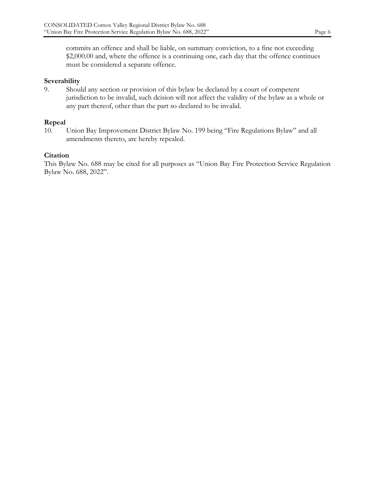commits an offence and shall be liable, on summary conviction, to a fine not exceeding \$2,000.00 and, where the offence is a continuing one, each day that the offence continues must be considered a separate offence.

#### **Severability**

9. Should any section or provision of this bylaw be declared by a court of competent jurisdiction to be invalid, such dcision will not affect the validity of the bylaw as a whole or any part thereof, other than the part so declared to be invalid.

#### **Repeal**

10. Union Bay Improvement District Bylaw No. 199 being "Fire Regulations Bylaw" and all amendments thereto, are hereby repealed.

### **Citation**

This Bylaw No. 688 may be cited for all purposes as "Union Bay Fire Protection Service Regulation Bylaw No. 688, 2022".